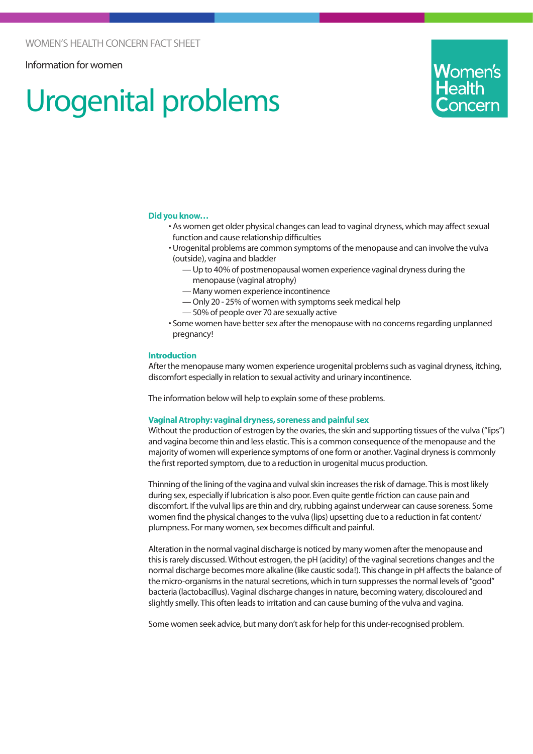## Information for women

# Urogenital problems



#### **Did you know…**

- As women get older physical changes can lead to vaginal dryness, which may affect sexual function and cause relationship difficulties
- Urogenital problems are common symptoms of the menopause and can involve the vulva (outside), vagina and bladder
	- Up to 40% of postmenopausal women experience vaginal dryness during the menopause (vaginal atrophy)
	- Many women experience incontinence
	- Only 20 25% of women with symptoms seek medical help
	- 50% of people over 70 are sexually active
- Some women have better sex after the menopause with no concerns regarding unplanned pregnancy!

#### **Introduction**

After the menopause many women experience urogenital problems such as vaginal dryness, itching, discomfort especially in relation to sexual activity and urinary incontinence.

The information below will help to explain some of these problems.

#### **Vaginal Atrophy: vaginal dryness, soreness and painful sex**

Without the production of estrogen by the ovaries, the skin and supporting tissues of the vulva ("lips") and vagina become thin and less elastic. This is a common consequence of the menopause and the majority of women will experience symptoms of one form or another. Vaginal dryness is commonly the first reported symptom, due to a reduction in urogenital mucus production.

Thinning of the lining of the vagina and vulval skin increases the risk of damage. This is most likely during sex, especially if lubrication is also poor. Even quite gentle friction can cause pain and discomfort. If the vulval lips are thin and dry, rubbing against underwear can cause soreness. Some women find the physical changes to the vulva (lips) upsetting due to a reduction in fat content/ plumpness. For many women, sex becomes difficult and painful.

Alteration in the normal vaginal discharge is noticed by many women after the menopause and this is rarely discussed. Without estrogen, the pH (acidity) of the vaginal secretions changes and the normal discharge becomes more alkaline (like caustic soda!). This change in pH affects the balance of the micro-organisms in the natural secretions, which in turn suppresses the normal levels of "good" bacteria (lactobacillus). Vaginal discharge changes in nature, becoming watery, discoloured and slightly smelly. This often leads to irritation and can cause burning of the vulva and vagina.

Some women seek advice, but many don't ask for help for this under-recognised problem.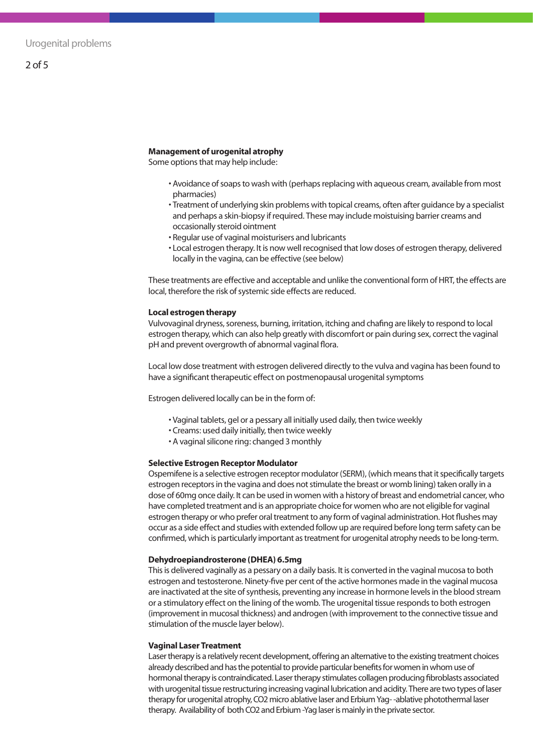#### **Management of urogenital atrophy**

Some options that may help include:

- Avoidance of soaps to wash with (perhaps replacing with aqueous cream, available from most pharmacies)
- Treatment of underlying skin problems with topical creams, often after guidance by a specialist and perhaps a skin-biopsy if required. These may include moistuising barrier creams and occasionally steroid ointment
- Regular use of vaginal moisturisers and lubricants
- Local estrogen therapy. It is now well recognised that low doses of estrogen therapy, delivered locally in the vagina, can be effective (see below)

These treatments are effective and acceptable and unlike the conventional form of HRT, the effects are local, therefore the risk of systemic side effects are reduced.

#### **Local estrogen therapy**

Vulvovaginal dryness, soreness, burning, irritation, itching and chafing are likely to respond to local estrogen therapy, which can also help greatly with discomfort or pain during sex, correct the vaginal pH and prevent overgrowth of abnormal vaginal flora.

Local low dose treatment with estrogen delivered directly to the vulva and vagina has been found to have a significant therapeutic effect on postmenopausal urogenital symptoms

Estrogen delivered locally can be in the form of:

- Vaginal tablets, gel or a pessary all initially used daily, then twice weekly
- Creams: used daily initially, then twice weekly
- A vaginal silicone ring: changed 3 monthly

#### **Selective Estrogen Receptor Modulator**

Ospemifene is a selective estrogen receptor modulator (SERM), (which means that it specifically targets estrogen receptors in the vagina and does not stimulate the breast or womb lining) taken orally in a dose of 60mg once daily. It can be used in women with a history of breast and endometrial cancer, who have completed treatment and is an appropriate choice for women who are not eligible for vaginal estrogen therapy or who prefer oral treatment to any form of vaginal administration. Hot flushes may occur as a side effect and studies with extended follow up are required before long term safety can be confirmed, which is particularly important as treatment for urogenital atrophy needs to be long-term.

#### **Dehydroepiandrosterone (DHEA) 6.5mg**

This is delivered vaginally as a pessary on a daily basis. It is converted in the vaginal mucosa to both estrogen and testosterone. Ninety-five per cent of the active hormones made in the vaginal mucosa are inactivated at the site of synthesis, preventing any increase in hormone levels in the blood stream or a stimulatory effect on the lining of the womb. The urogenital tissue responds to both estrogen (improvement in mucosal thickness) and androgen (with improvement to the connective tissue and stimulation of the muscle layer below).

#### **Vaginal Laser Treatment**

Laser therapy is a relatively recent development, offering an alternative to the existing treatment choices already described and has the potential to provide particular benefits for women in whom use of hormonal therapy is contraindicated. Laser therapy stimulates collagen producing fibroblasts associated with urogenital tissue restructuring increasing vaginal lubrication and acidity. There are two types of laser therapy for urogenital atrophy, CO2 micro ablative laser and Erbium Yag- -ablative photothermal laser therapy. Availability of both CO2 and Erbium -Yag laser is mainly in the private sector.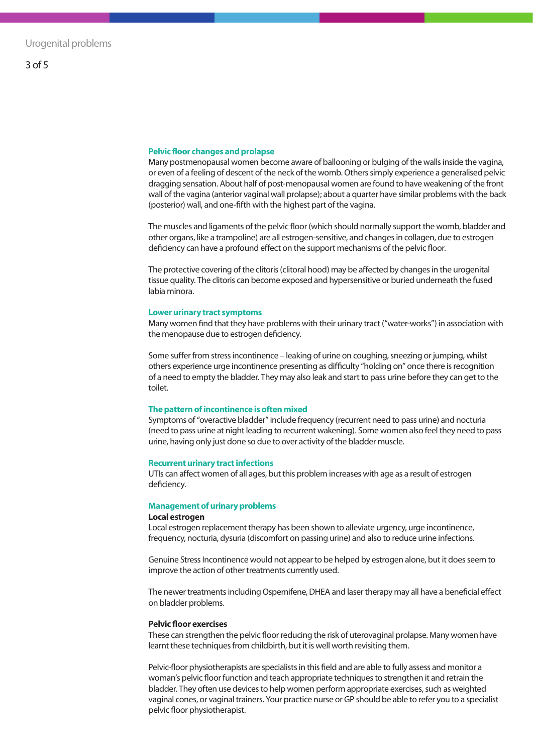#### **Pelvic floor changes and prolapse**

Many postmenopausal women become aware of ballooning or bulging of the walls inside the vagina, or even of a feeling of descent of the neck of the womb. Others simply experience a generalised pelvic dragging sensation. About half of post-menopausal women are found to have weakening of the front wall of the vagina (anterior vaginal wall prolapse); about a quarter have similar problems with the back (posterior) wall, and one-fifth with the highest part of the vagina.

The muscles and ligaments of the pelvic floor (which should normally support the womb, bladder and other organs, like a trampoline) are all estrogen-sensitive, and changes in collagen, due to estrogen deficiency can have a profound effect on the support mechanisms of the pelvic floor.

The protective covering of the clitoris (clitoral hood) may be affected by changes in the urogenital tissue quality. The clitoris can become exposed and hypersensitive or buried underneath the fused labia minora.

#### **Lower urinary tract symptoms**

Many women find that they have problems with their urinary tract ("water-works") in association with the menopause due to estrogen deficiency.

Some suffer from stress incontinence – leaking of urine on coughing, sneezing or jumping, whilst others experience urge incontinence presenting as difficulty "holding on" once there is recognition of a need to empty the bladder. They may also leak and start to pass urine before they can get to the toilet.

#### **The pattern of incontinence is often mixed**

Symptoms of "overactive bladder" include frequency (recurrent need to pass urine) and nocturia (need to pass urine at night leading to recurrent wakening). Some women also feel they need to pass urine, having only just done so due to over activity of the bladder muscle.

#### **Recurrent urinary tract infections**

UTIs can affect women of all ages, but this problem increases with age as a result of estrogen deficiency.

#### **Management of urinary problems**

#### **Local estrogen**

Local estrogen replacement therapy has been shown to alleviate urgency, urge incontinence, frequency, nocturia, dysuria (discomfort on passing urine) and also to reduce urine infections.

Genuine Stress Incontinence would not appear to be helped by estrogen alone, but it does seem to improve the action of other treatments currently used.

The newer treatments including Ospemifene, DHEA and laser therapy may all have a beneficial effect on bladder problems.

#### **Pelvic floor exercises**

These can strengthen the pelvic floor reducing the risk of uterovaginal prolapse. Many women have learnt these techniques from childbirth, but it is well worth revisiting them.

Pelvic-floor physiotherapists are specialists in this field and are able to fully assess and monitor a woman's pelvic floor function and teach appropriate techniques to strengthen it and retrain the bladder. They often use devices to help women perform appropriate exercises, such as weighted vaginal cones, or vaginal trainers. Your practice nurse or GP should be able to refer you to a specialist pelvic floor physiotherapist.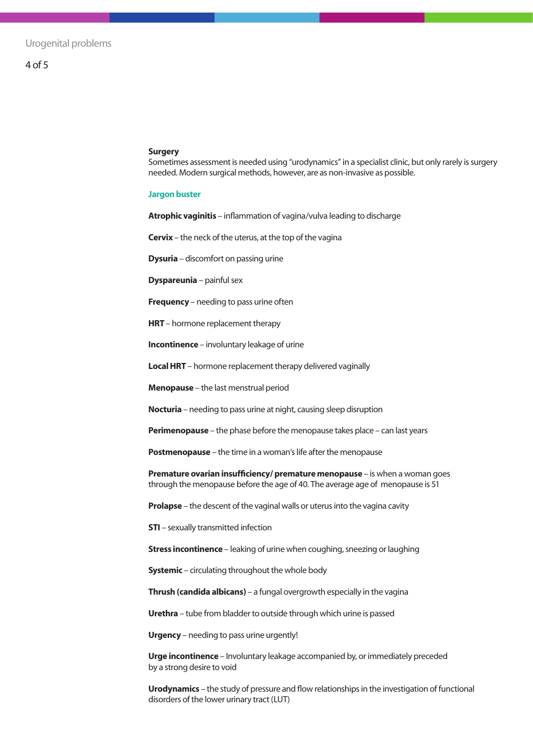# 4 of 5

#### **Surgery**

Sometimes assessment is needed using "urodynamics" in a specialist clinic, but only rarely is surgery needed. Modern surgical methods, however, are as non-invasive as possible.

#### **Jargon buster**

**Atrophic vaginitis** – inflammation of vagina/vulva leading to discharge

**Cervix** – the neck of the uterus, at the top of the vagina

**Dysuria** – discomfort on passing urine

**Dyspareunia** – painful sex

**Frequency** – needing to pass urine often

**HRT** – hormone replacement therapy

**Incontinence** – involuntary leakage of urine

**Local HRT** – hormone replacement therapy delivered vaginally

**Menopause** – the last menstrual period

**Nocturia** – needing to pass urine at night, causing sleep disruption

**Perimenopause** – the phase before the menopause takes place – can last years

**Postmenopause** – the time in a woman's life after the menopause

**Premature ovarian insufficiency/ premature menopause** – is when a woman goes through the menopause before the age of 40. The average age of menopause is 51

**Prolapse** – the descent of the vaginal walls or uterus into the vagina cavity

**STI** – sexually transmitted infection

**Stress incontinence** – leaking of urine when coughing, sneezing or laughing

**Systemic** – circulating throughout the whole body

**Thrush (candida albicans)** – a fungal overgrowth especially in the vagina

**Urethra** – tube from bladder to outside through which urine is passed

**Urgency** – needing to pass urine urgently!

**Urge incontinence** – Involuntary leakage accompanied by, or immediately preceded by a strong desire to void

**Urodynamics** – the study of pressure and flow relationships in the investigation of functional disorders of the lower urinary tract (LUT)